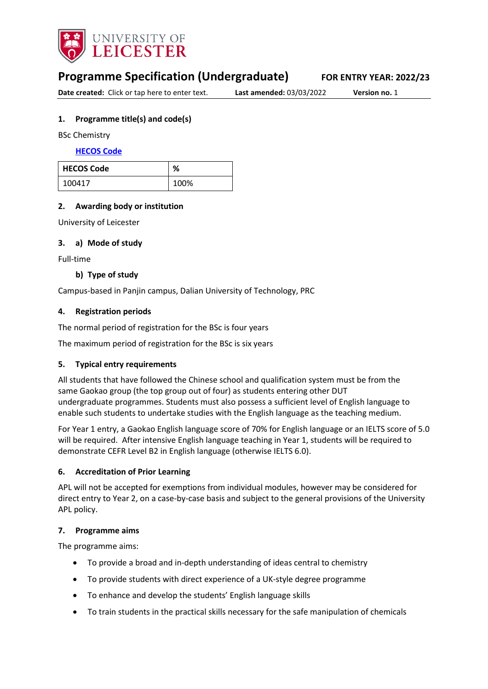

# **Programme Specification (Undergraduate) FOR ENTRY YEAR: 2022/23**

**Date created:** Click or tap here to enter text. **Last amended:** 03/03/2022 **Version no.** 1

### <span id="page-0-0"></span>**1. Programme title(s) and code(s)**

BSc Chemistry

**[HECOS Code](https://www.hesa.ac.uk/innovation/hecos)**

| <b>HECOS Code</b> | ℅    |
|-------------------|------|
| 100417            | 100% |

### **2. Awarding body or institution**

University of Leicester

#### **3. a) Mode of study**

Full-time

### **b) Type of study**

Campus-based in Panjin campus, Dalian University of Technology, PRC

### **4. Registration periods**

The normal period of registration for the BSc is four years

The maximum period of registration for the BSc is six years

### **5. Typical entry requirements**

All students that have followed the Chinese school and qualification system must be from the same Gaokao group (the top group out of four) as students entering other DUT undergraduate programmes. Students must also possess a sufficient level of English language to enable such students to undertake studies with the English language as the teaching medium.

For Year 1 entry, a Gaokao English language score of 70% for English language or an IELTS score of 5.0 will be required.  After intensive English language teaching in Year 1, students will be required to demonstrate CEFR Level B2 in English language (otherwise IELTS 6.0).

#### **6. Accreditation of Prior Learning**

APL will not be accepted for exemptions from individual modules, however may be considered for direct entry to Year 2, on a case-by-case basis and subject to the general provisions of the University APL policy.

#### **7. Programme aims**

The programme aims:

- To provide a broad and in-depth understanding of ideas central to chemistry
- To provide students with direct experience of a UK-style degree programme
- To enhance and develop the students' English language skills
- To train students in the practical skills necessary for the safe manipulation of chemicals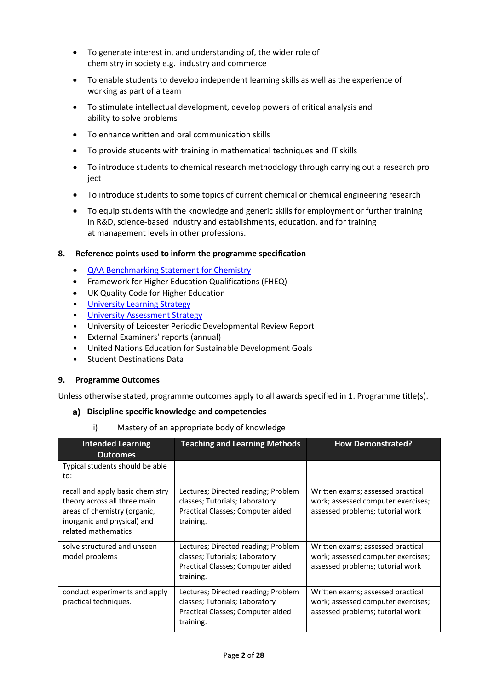- To generate interest in, and understanding of, the wider role of chemistry in society e.g.  industry and commerce
- To enable students to develop independent learning skills as well as the experience of working as part of a team
- To stimulate intellectual development, develop powers of critical analysis and ability to solve problems
- To enhance written and oral communication skills
- To provide students with training in mathematical techniques and IT skills
- To introduce students to chemical research methodology through carrying out a research pro iect
- To introduce students to some topics of current chemical or chemical engineering research
- To equip students with the knowledge and generic skills for employment or further training in R&D, science-based industry and establishments, education, and for training at management levels in other professions.

#### **8. Reference points used to inform the programme specification**

- [QAA Benchmarking Statement for Chemistry](https://www.qaa.ac.uk/docs/qaa/subject-benchmark-statements/subject-benchmark-statement-chemistry.pdf)
- Framework for Higher Education Qualifications (FHEQ)
- UK Quality Code for Higher Education
- University Learnin[g Strategy](https://www2.le.ac.uk/offices/sas2/quality/learnteach)
- [University Assessment Strategy](https://www2.le.ac.uk/offices/sas2/quality/learnteach)
- University of Leicester Periodic Developmental Review Report
- External Examiners' reports (annual)
- United Nations Education for Sustainable Development Goals
- Student Destinations Data

### **9. Programme Outcomes**

Unless otherwise stated, programme outcomes apply to all awards specified in [1](#page-0-0). Programme title(s).

#### **Discipline specific knowledge and competencies**

i) Mastery of an appropriate body of knowledge

| <b>Intended Learning</b><br><b>Outcomes</b>                                                                                                            | <b>Teaching and Learning Methods</b>                                                                                    | <b>How Demonstrated?</b>                                                                                    |
|--------------------------------------------------------------------------------------------------------------------------------------------------------|-------------------------------------------------------------------------------------------------------------------------|-------------------------------------------------------------------------------------------------------------|
| Typical students should be able<br>to:                                                                                                                 |                                                                                                                         |                                                                                                             |
| recall and apply basic chemistry<br>theory across all three main<br>areas of chemistry (organic,<br>inorganic and physical) and<br>related mathematics | Lectures; Directed reading; Problem<br>classes; Tutorials; Laboratory<br>Practical Classes; Computer aided<br>training. | Written exams; assessed practical<br>work; assessed computer exercises;<br>assessed problems; tutorial work |
| solve structured and unseen<br>model problems                                                                                                          | Lectures; Directed reading; Problem<br>classes; Tutorials; Laboratory<br>Practical Classes; Computer aided<br>training. | Written exams; assessed practical<br>work; assessed computer exercises;<br>assessed problems; tutorial work |
| conduct experiments and apply<br>practical techniques.                                                                                                 | Lectures; Directed reading; Problem<br>classes; Tutorials; Laboratory<br>Practical Classes; Computer aided<br>training. | Written exams; assessed practical<br>work; assessed computer exercises;<br>assessed problems; tutorial work |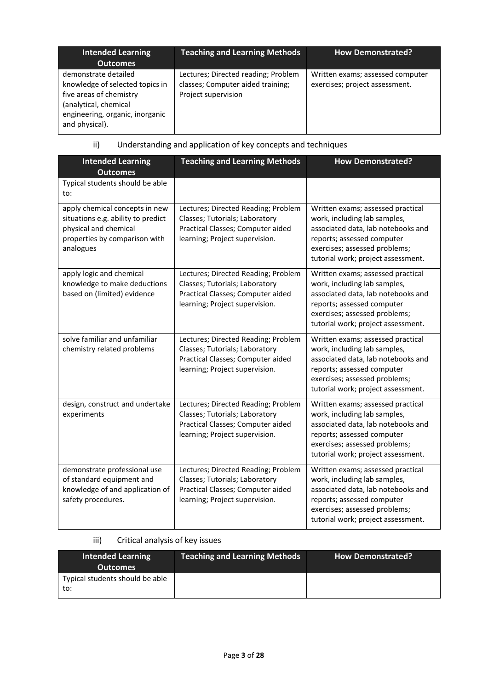| Intended Learning<br><b>Outcomes</b>                                                                                                                             | <b>Teaching and Learning Methods</b>                                                            | <b>How Demonstrated?</b>                                           |
|------------------------------------------------------------------------------------------------------------------------------------------------------------------|-------------------------------------------------------------------------------------------------|--------------------------------------------------------------------|
| demonstrate detailed<br>knowledge of selected topics in<br>five areas of chemistry<br>(analytical, chemical<br>engineering, organic, inorganic<br>and physical). | Lectures; Directed reading; Problem<br>classes; Computer aided training;<br>Project supervision | Written exams; assessed computer<br>exercises; project assessment. |

# ii) Understanding and application of key concepts and techniques

| <b>Intended Learning</b><br><b>Outcomes</b>                                                                                                 | <b>Teaching and Learning Methods</b>                                                                                                         | <b>How Demonstrated?</b>                                                                                                                                                                                     |
|---------------------------------------------------------------------------------------------------------------------------------------------|----------------------------------------------------------------------------------------------------------------------------------------------|--------------------------------------------------------------------------------------------------------------------------------------------------------------------------------------------------------------|
| Typical students should be able<br>to:                                                                                                      |                                                                                                                                              |                                                                                                                                                                                                              |
| apply chemical concepts in new<br>situations e.g. ability to predict<br>physical and chemical<br>properties by comparison with<br>analogues | Lectures; Directed Reading; Problem<br>Classes; Tutorials; Laboratory<br>Practical Classes; Computer aided<br>learning; Project supervision. | Written exams; assessed practical<br>work, including lab samples,<br>associated data, lab notebooks and<br>reports; assessed computer<br>exercises; assessed problems;<br>tutorial work; project assessment. |
| apply logic and chemical<br>knowledge to make deductions<br>based on (limited) evidence                                                     | Lectures; Directed Reading; Problem<br>Classes; Tutorials; Laboratory<br>Practical Classes; Computer aided<br>learning; Project supervision. | Written exams; assessed practical<br>work, including lab samples,<br>associated data, lab notebooks and<br>reports; assessed computer<br>exercises; assessed problems;<br>tutorial work; project assessment. |
| solve familiar and unfamiliar<br>chemistry related problems                                                                                 | Lectures; Directed Reading; Problem<br>Classes; Tutorials; Laboratory<br>Practical Classes; Computer aided<br>learning; Project supervision. | Written exams; assessed practical<br>work, including lab samples,<br>associated data, lab notebooks and<br>reports; assessed computer<br>exercises; assessed problems;<br>tutorial work; project assessment. |
| design, construct and undertake<br>experiments                                                                                              | Lectures; Directed Reading; Problem<br>Classes; Tutorials; Laboratory<br>Practical Classes; Computer aided<br>learning; Project supervision. | Written exams; assessed practical<br>work, including lab samples,<br>associated data, lab notebooks and<br>reports; assessed computer<br>exercises; assessed problems;<br>tutorial work; project assessment. |
| demonstrate professional use<br>of standard equipment and<br>knowledge of and application of<br>safety procedures.                          | Lectures; Directed Reading; Problem<br>Classes; Tutorials; Laboratory<br>Practical Classes; Computer aided<br>learning; Project supervision. | Written exams; assessed practical<br>work, including lab samples,<br>associated data, lab notebooks and<br>reports; assessed computer<br>exercises; assessed problems;<br>tutorial work; project assessment. |

iii) Critical analysis of key issues

| <b>Intended Learning</b><br><b>Outcomes</b> | <b>Teaching and Learning Methods</b> | <b>How Demonstrated?</b> |
|---------------------------------------------|--------------------------------------|--------------------------|
| Typical students should be able<br>to:      |                                      |                          |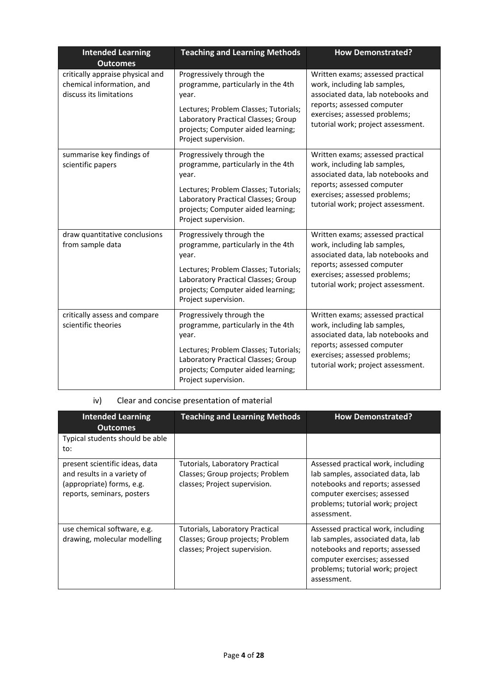| <b>Intended Learning</b><br><b>Outcomes</b>                                              | <b>Teaching and Learning Methods</b>                                                                                                                                                                                   | <b>How Demonstrated?</b>                                                                                                                                                                                     |
|------------------------------------------------------------------------------------------|------------------------------------------------------------------------------------------------------------------------------------------------------------------------------------------------------------------------|--------------------------------------------------------------------------------------------------------------------------------------------------------------------------------------------------------------|
| critically appraise physical and<br>chemical information, and<br>discuss its limitations | Progressively through the<br>programme, particularly in the 4th<br>year.<br>Lectures; Problem Classes; Tutorials;<br>Laboratory Practical Classes; Group<br>projects; Computer aided learning;<br>Project supervision. | Written exams; assessed practical<br>work, including lab samples,<br>associated data, lab notebooks and<br>reports; assessed computer<br>exercises; assessed problems;<br>tutorial work; project assessment. |
| summarise key findings of<br>scientific papers                                           | Progressively through the<br>programme, particularly in the 4th<br>year.<br>Lectures; Problem Classes; Tutorials;<br>Laboratory Practical Classes; Group<br>projects; Computer aided learning;<br>Project supervision. | Written exams; assessed practical<br>work, including lab samples,<br>associated data, lab notebooks and<br>reports; assessed computer<br>exercises; assessed problems;<br>tutorial work; project assessment. |
| draw quantitative conclusions<br>from sample data                                        | Progressively through the<br>programme, particularly in the 4th<br>year.<br>Lectures; Problem Classes; Tutorials;<br>Laboratory Practical Classes; Group<br>projects; Computer aided learning;<br>Project supervision. | Written exams; assessed practical<br>work, including lab samples,<br>associated data, lab notebooks and<br>reports; assessed computer<br>exercises; assessed problems;<br>tutorial work; project assessment. |
| critically assess and compare<br>scientific theories                                     | Progressively through the<br>programme, particularly in the 4th<br>year.<br>Lectures; Problem Classes; Tutorials;<br>Laboratory Practical Classes; Group<br>projects; Computer aided learning;<br>Project supervision. | Written exams; assessed practical<br>work, including lab samples,<br>associated data, lab notebooks and<br>reports; assessed computer<br>exercises; assessed problems;<br>tutorial work; project assessment. |

## iv) Clear and concise presentation of material

| <b>Intended Learning</b><br><b>Outcomes</b>                                                                              | <b>Teaching and Learning Methods</b>                                                                        | <b>How Demonstrated?</b>                                                                                                                                                                      |
|--------------------------------------------------------------------------------------------------------------------------|-------------------------------------------------------------------------------------------------------------|-----------------------------------------------------------------------------------------------------------------------------------------------------------------------------------------------|
| Typical students should be able<br>to:                                                                                   |                                                                                                             |                                                                                                                                                                                               |
| present scientific ideas, data<br>and results in a variety of<br>(appropriate) forms, e.g.<br>reports, seminars, posters | <b>Tutorials, Laboratory Practical</b><br>Classes; Group projects; Problem<br>classes; Project supervision. | Assessed practical work, including<br>lab samples, associated data, lab<br>notebooks and reports; assessed<br>computer exercises; assessed<br>problems; tutorial work; project<br>assessment. |
| use chemical software, e.g.<br>drawing, molecular modelling                                                              | Tutorials, Laboratory Practical<br>Classes; Group projects; Problem<br>classes; Project supervision.        | Assessed practical work, including<br>lab samples, associated data, lab<br>notebooks and reports; assessed<br>computer exercises; assessed<br>problems; tutorial work; project<br>assessment. |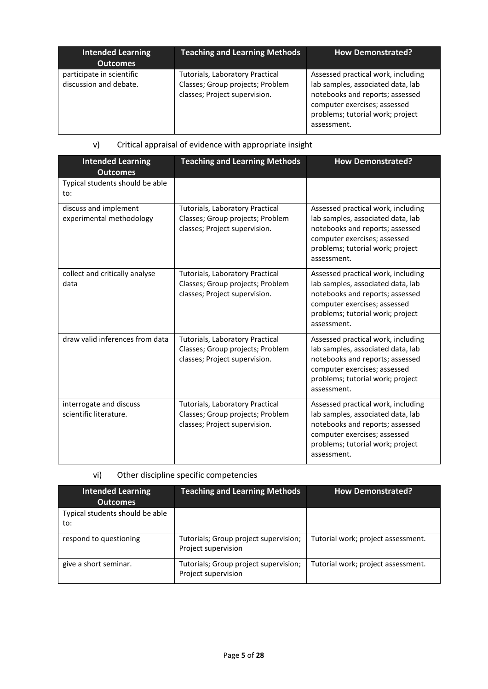| <b>Intended Learning</b><br><b>Outcomes</b>         | <b>Teaching and Learning Methods</b>                                                                 | <b>How Demonstrated?</b>                                                                                                                                                                      |
|-----------------------------------------------------|------------------------------------------------------------------------------------------------------|-----------------------------------------------------------------------------------------------------------------------------------------------------------------------------------------------|
| participate in scientific<br>discussion and debate. | Tutorials, Laboratory Practical<br>Classes; Group projects; Problem<br>classes; Project supervision. | Assessed practical work, including<br>lab samples, associated data, lab<br>notebooks and reports; assessed<br>computer exercises; assessed<br>problems; tutorial work; project<br>assessment. |

## v) Critical appraisal of evidence with appropriate insight

| <b>Intended Learning</b><br><b>Outcomes</b>       | <b>Teaching and Learning Methods</b>                                                                        | <b>How Demonstrated?</b>                                                                                                                                                                      |
|---------------------------------------------------|-------------------------------------------------------------------------------------------------------------|-----------------------------------------------------------------------------------------------------------------------------------------------------------------------------------------------|
| Typical students should be able<br>to:            |                                                                                                             |                                                                                                                                                                                               |
| discuss and implement<br>experimental methodology | Tutorials, Laboratory Practical<br>Classes; Group projects; Problem<br>classes; Project supervision.        | Assessed practical work, including<br>lab samples, associated data, lab<br>notebooks and reports; assessed<br>computer exercises; assessed<br>problems; tutorial work; project<br>assessment. |
| collect and critically analyse<br>data            | <b>Tutorials, Laboratory Practical</b><br>Classes; Group projects; Problem<br>classes; Project supervision. | Assessed practical work, including<br>lab samples, associated data, lab<br>notebooks and reports; assessed<br>computer exercises; assessed<br>problems; tutorial work; project<br>assessment. |
| draw valid inferences from data                   | <b>Tutorials, Laboratory Practical</b><br>Classes; Group projects; Problem<br>classes; Project supervision. | Assessed practical work, including<br>lab samples, associated data, lab<br>notebooks and reports; assessed<br>computer exercises; assessed<br>problems; tutorial work; project<br>assessment. |
| interrogate and discuss<br>scientific literature. | Tutorials, Laboratory Practical<br>Classes; Group projects; Problem<br>classes; Project supervision.        | Assessed practical work, including<br>lab samples, associated data, lab<br>notebooks and reports; assessed<br>computer exercises; assessed<br>problems; tutorial work; project<br>assessment. |

# vi) Other discipline specific competencies

| <b>Intended Learning</b><br><b>Outcomes</b> | <b>Teaching and Learning Methods</b>                         | <b>How Demonstrated?</b>           |
|---------------------------------------------|--------------------------------------------------------------|------------------------------------|
| Typical students should be able<br>to:      |                                                              |                                    |
| respond to questioning                      | Tutorials; Group project supervision;<br>Project supervision | Tutorial work; project assessment. |
| give a short seminar.                       | Tutorials; Group project supervision;<br>Project supervision | Tutorial work; project assessment. |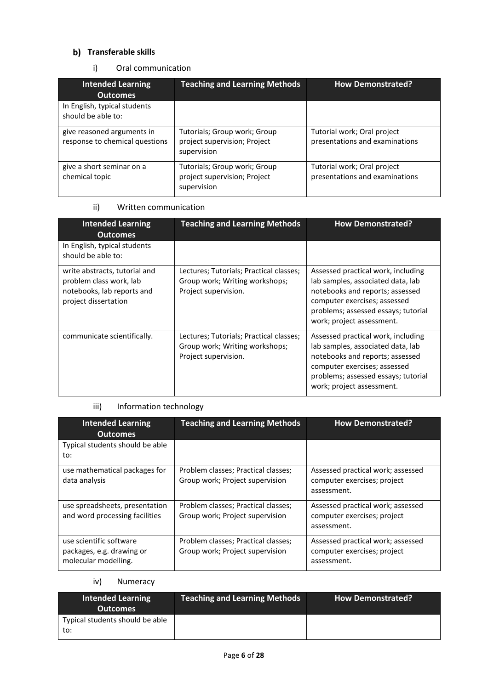# **b)** Transferable skills

### i) Oral communication

| <b>Intended Learning</b><br><b>Outcomes</b>                  | <b>Teaching and Learning Methods</b>                                        | <b>How Demonstrated?</b>                                      |
|--------------------------------------------------------------|-----------------------------------------------------------------------------|---------------------------------------------------------------|
| In English, typical students<br>should be able to:           |                                                                             |                                                               |
| give reasoned arguments in<br>response to chemical questions | Tutorials; Group work; Group<br>project supervision; Project<br>supervision | Tutorial work; Oral project<br>presentations and examinations |
| give a short seminar on a<br>chemical topic                  | Tutorials; Group work; Group<br>project supervision; Project<br>supervision | Tutorial work; Oral project<br>presentations and examinations |

## ii) Written communication

| <b>Intended Learning</b><br><b>Outcomes</b>                                                                    | <b>Teaching and Learning Methods</b>                                                              | <b>How Demonstrated?</b>                                                                                                                                                                                       |
|----------------------------------------------------------------------------------------------------------------|---------------------------------------------------------------------------------------------------|----------------------------------------------------------------------------------------------------------------------------------------------------------------------------------------------------------------|
| In English, typical students<br>should be able to:                                                             |                                                                                                   |                                                                                                                                                                                                                |
| write abstracts, tutorial and<br>problem class work, lab<br>notebooks, lab reports and<br>project dissertation | Lectures; Tutorials; Practical classes;<br>Group work; Writing workshops;<br>Project supervision. | Assessed practical work, including<br>lab samples, associated data, lab<br>notebooks and reports; assessed<br>computer exercises; assessed<br>problems; assessed essays; tutorial<br>work; project assessment. |
| communicate scientifically.                                                                                    | Lectures; Tutorials; Practical classes;<br>Group work; Writing workshops;<br>Project supervision. | Assessed practical work, including<br>lab samples, associated data, lab<br>notebooks and reports; assessed<br>computer exercises; assessed<br>problems; assessed essays; tutorial<br>work; project assessment. |

## iii) Information technology

| <b>Intended Learning</b><br><b>Outcomes</b>                                  | <b>Teaching and Learning Methods</b>                                   | <b>How Demonstrated?</b>                                                        |
|------------------------------------------------------------------------------|------------------------------------------------------------------------|---------------------------------------------------------------------------------|
| Typical students should be able<br>to:                                       |                                                                        |                                                                                 |
| use mathematical packages for<br>data analysis                               | Problem classes; Practical classes;<br>Group work; Project supervision | Assessed practical work; assessed<br>computer exercises; project<br>assessment. |
| use spreadsheets, presentation<br>and word processing facilities             | Problem classes; Practical classes;<br>Group work; Project supervision | Assessed practical work; assessed<br>computer exercises; project<br>assessment. |
| use scientific software<br>packages, e.g. drawing or<br>molecular modelling. | Problem classes; Practical classes;<br>Group work; Project supervision | Assessed practical work; assessed<br>computer exercises; project<br>assessment. |

# iv) Numeracy

| <b>Intended Learning</b><br><b>Outcomes</b> | <b>Teaching and Learning Methods</b> | <b>How Demonstrated?</b> |
|---------------------------------------------|--------------------------------------|--------------------------|
| Typical students should be able<br>to:      |                                      |                          |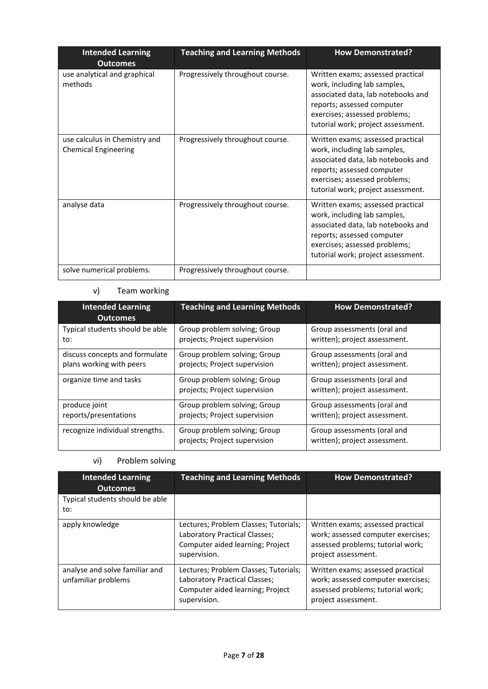| <b>Intended Learning</b><br><b>Outcomes</b>                  | <b>Teaching and Learning Methods</b> | <b>How Demonstrated?</b>                                                                                                                                                                                     |
|--------------------------------------------------------------|--------------------------------------|--------------------------------------------------------------------------------------------------------------------------------------------------------------------------------------------------------------|
| use analytical and graphical<br>methods                      | Progressively throughout course.     | Written exams; assessed practical<br>work, including lab samples,<br>associated data, lab notebooks and<br>reports; assessed computer<br>exercises; assessed problems;<br>tutorial work; project assessment. |
| use calculus in Chemistry and<br><b>Chemical Engineering</b> | Progressively throughout course.     | Written exams; assessed practical<br>work, including lab samples,<br>associated data, lab notebooks and<br>reports; assessed computer<br>exercises; assessed problems;<br>tutorial work; project assessment. |
| analyse data                                                 | Progressively throughout course.     | Written exams; assessed practical<br>work, including lab samples,<br>associated data, lab notebooks and<br>reports; assessed computer<br>exercises; assessed problems;<br>tutorial work; project assessment. |
| solve numerical problems.                                    | Progressively throughout course.     |                                                                                                                                                                                                              |

## v) Team working

| <b>Intended Learning</b><br><b>Outcomes</b> | <b>Teaching and Learning Methods</b>                          | <b>How Demonstrated?</b>                                     |
|---------------------------------------------|---------------------------------------------------------------|--------------------------------------------------------------|
| Typical students should be able             | Group problem solving; Group                                  | Group assessments (oral and                                  |
| to:                                         | projects; Project supervision                                 | written); project assessment.                                |
| discuss concepts and formulate              | Group problem solving; Group                                  | Group assessments (oral and                                  |
| plans working with peers                    | projects; Project supervision                                 | written); project assessment.                                |
| organize time and tasks                     | Group problem solving; Group<br>projects; Project supervision | Group assessments (oral and<br>written); project assessment. |
| produce joint                               | Group problem solving; Group                                  | Group assessments (oral and                                  |
| reports/presentations                       | projects; Project supervision                                 | written); project assessment.                                |
| recognize individual strengths.             | Group problem solving; Group<br>projects; Project supervision | Group assessments (oral and<br>written); project assessment. |

## vi) Problem solving

| <b>Intended Learning</b><br><b>Outcomes</b>           | <b>Teaching and Learning Methods</b>                                                                                       | <b>How Demonstrated?</b>                                                                                                            |
|-------------------------------------------------------|----------------------------------------------------------------------------------------------------------------------------|-------------------------------------------------------------------------------------------------------------------------------------|
| Typical students should be able<br>to:                |                                                                                                                            |                                                                                                                                     |
| apply knowledge                                       | Lectures; Problem Classes; Tutorials;<br>Laboratory Practical Classes;<br>Computer aided learning; Project<br>supervision. | Written exams; assessed practical<br>work; assessed computer exercises;<br>assessed problems; tutorial work;<br>project assessment. |
| analyse and solve familiar and<br>unfamiliar problems | Lectures: Problem Classes: Tutorials:<br>Laboratory Practical Classes;<br>Computer aided learning; Project<br>supervision. | Written exams; assessed practical<br>work; assessed computer exercises;<br>assessed problems; tutorial work;<br>project assessment. |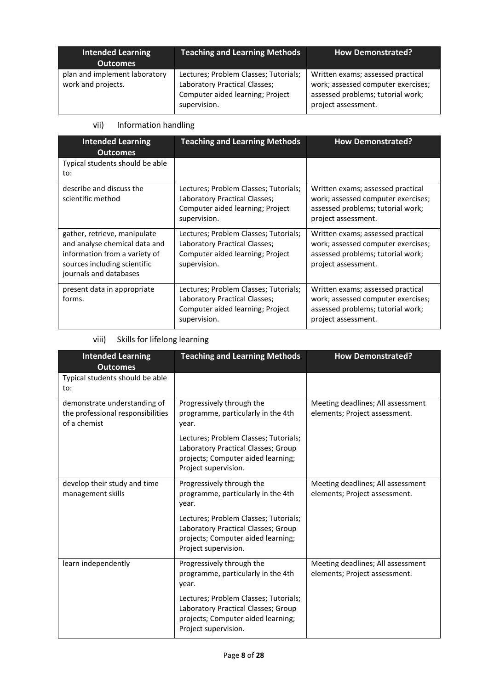| <b>Intended Learning</b><br><b>Outcomes</b>         | <b>Teaching and Learning Methods</b>                                                                                       | <b>How Demonstrated?</b>                                                                                                            |
|-----------------------------------------------------|----------------------------------------------------------------------------------------------------------------------------|-------------------------------------------------------------------------------------------------------------------------------------|
| plan and implement laboratory<br>work and projects. | Lectures; Problem Classes; Tutorials;<br>Laboratory Practical Classes;<br>Computer aided learning; Project<br>supervision. | Written exams; assessed practical<br>work; assessed computer exercises;<br>assessed problems; tutorial work;<br>project assessment. |

# vii) Information handling

| <b>Intended Learning</b><br><b>Outcomes</b>                                                                                                              | <b>Teaching and Learning Methods</b>                                                                                       | <b>How Demonstrated?</b>                                                                                                            |
|----------------------------------------------------------------------------------------------------------------------------------------------------------|----------------------------------------------------------------------------------------------------------------------------|-------------------------------------------------------------------------------------------------------------------------------------|
| Typical students should be able<br>to:                                                                                                                   |                                                                                                                            |                                                                                                                                     |
| describe and discuss the<br>scientific method                                                                                                            | Lectures; Problem Classes; Tutorials;<br>Laboratory Practical Classes;<br>Computer aided learning; Project<br>supervision. | Written exams; assessed practical<br>work; assessed computer exercises;<br>assessed problems; tutorial work;<br>project assessment. |
| gather, retrieve, manipulate<br>and analyse chemical data and<br>information from a variety of<br>sources including scientific<br>journals and databases | Lectures; Problem Classes; Tutorials;<br>Laboratory Practical Classes;<br>Computer aided learning; Project<br>supervision. | Written exams; assessed practical<br>work; assessed computer exercises;<br>assessed problems; tutorial work;<br>project assessment. |
| present data in appropriate<br>forms.                                                                                                                    | Lectures; Problem Classes; Tutorials;<br>Laboratory Practical Classes;<br>Computer aided learning; Project<br>supervision. | Written exams; assessed practical<br>work; assessed computer exercises;<br>assessed problems; tutorial work;<br>project assessment. |

# viii) Skills for lifelong learning

| <b>Intended Learning</b><br><b>Outcomes</b>                                       | <b>Teaching and Learning Methods</b>                                                                                                       | <b>How Demonstrated?</b>                                           |
|-----------------------------------------------------------------------------------|--------------------------------------------------------------------------------------------------------------------------------------------|--------------------------------------------------------------------|
| Typical students should be able<br>to:                                            |                                                                                                                                            |                                                                    |
| demonstrate understanding of<br>the professional responsibilities<br>of a chemist | Progressively through the<br>programme, particularly in the 4th<br>year.                                                                   | Meeting deadlines; All assessment<br>elements; Project assessment. |
|                                                                                   | Lectures; Problem Classes; Tutorials;<br>Laboratory Practical Classes; Group<br>projects; Computer aided learning;<br>Project supervision. |                                                                    |
| develop their study and time<br>management skills                                 | Progressively through the<br>programme, particularly in the 4th<br>year.                                                                   | Meeting deadlines; All assessment<br>elements; Project assessment. |
|                                                                                   | Lectures; Problem Classes; Tutorials;<br>Laboratory Practical Classes; Group<br>projects; Computer aided learning;<br>Project supervision. |                                                                    |
| learn independently                                                               | Progressively through the<br>programme, particularly in the 4th<br>year.                                                                   | Meeting deadlines; All assessment<br>elements; Project assessment. |
|                                                                                   | Lectures; Problem Classes; Tutorials;<br>Laboratory Practical Classes; Group<br>projects; Computer aided learning;<br>Project supervision. |                                                                    |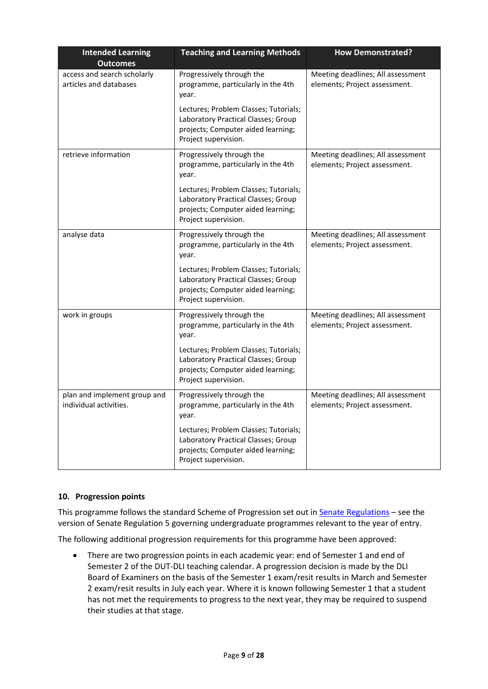| <b>Intended Learning</b>                               | <b>Teaching and Learning Methods</b>                                                                                                       | <b>How Demonstrated?</b>                                           |
|--------------------------------------------------------|--------------------------------------------------------------------------------------------------------------------------------------------|--------------------------------------------------------------------|
| <b>Outcomes</b>                                        |                                                                                                                                            |                                                                    |
| access and search scholarly<br>articles and databases  | Progressively through the<br>programme, particularly in the 4th<br>year.                                                                   | Meeting deadlines; All assessment<br>elements; Project assessment. |
|                                                        | Lectures; Problem Classes; Tutorials;<br>Laboratory Practical Classes; Group<br>projects; Computer aided learning;<br>Project supervision. |                                                                    |
| retrieve information                                   | Progressively through the<br>programme, particularly in the 4th<br>year.                                                                   | Meeting deadlines; All assessment<br>elements; Project assessment. |
|                                                        | Lectures; Problem Classes; Tutorials;<br>Laboratory Practical Classes; Group<br>projects; Computer aided learning;<br>Project supervision. |                                                                    |
| analyse data                                           | Progressively through the<br>programme, particularly in the 4th<br>year.                                                                   | Meeting deadlines; All assessment<br>elements; Project assessment. |
|                                                        | Lectures; Problem Classes; Tutorials;<br>Laboratory Practical Classes; Group<br>projects; Computer aided learning;<br>Project supervision. |                                                                    |
| work in groups                                         | Progressively through the<br>programme, particularly in the 4th<br>year.                                                                   | Meeting deadlines; All assessment<br>elements; Project assessment. |
|                                                        | Lectures; Problem Classes; Tutorials;<br>Laboratory Practical Classes; Group<br>projects; Computer aided learning;<br>Project supervision. |                                                                    |
| plan and implement group and<br>individual activities. | Progressively through the<br>programme, particularly in the 4th<br>year.                                                                   | Meeting deadlines; All assessment<br>elements; Project assessment. |
|                                                        | Lectures; Problem Classes; Tutorials;<br>Laboratory Practical Classes; Group<br>projects; Computer aided learning;<br>Project supervision. |                                                                    |

### **10. Progression points**

This programme follows the standard Scheme of Progression set out in **Senate Regulations** – see the version of Senate Regulation 5 governing undergraduate programmes relevant to the year of entry.

The following additional progression requirements for this programme have been approved:

• There are two progression points in each academic year: end of Semester 1 and end of Semester 2 of the DUT-DLI teaching calendar. A progression decision is made by the DLI Board of Examiners on the basis of the Semester 1 exam/resit results in March and Semester 2 exam/resit results in July each year. Where it is known following Semester 1 that a student has not met the requirements to progress to the next year, they may be required to suspend their studies at that stage.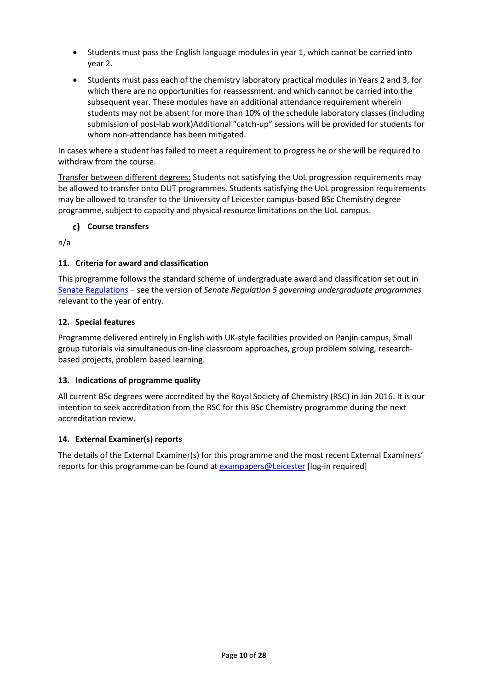- Students must pass the English language modules in year 1, which cannot be carried into year 2.
- Students must pass each of the chemistry laboratory practical modules in Years 2 and 3, for which there are no opportunities for reassessment, and which cannot be carried into the subsequent year. These modules have an additional attendance requirement wherein students may not be absent for more than 10% of the schedule laboratory classes (including submission of post-lab work)Additional "catch-up" sessions will be provided for students for whom non-attendance has been mitigated.

In cases where a student has failed to meet a requirement to progress he or she will be required to withdraw from the course.

Transfer between different degrees: Students not satisfying the UoL progression requirements may be allowed to transfer onto DUT programmes. Students satisfying the UoL progression requirements may be allowed to transfer to the University of Leicester campus-based BSc Chemistry degree programme, subject to capacity and physical resource limitations on the UoL campus.

### **Course transfers**

n/a

## **11. Criteria for award and classification**

This programme follows the standard scheme of undergraduate award and classification set out in [Senate Regulations](http://www.le.ac.uk/senate-regulations) – see the version of *Senate Regulation 5 governing undergraduate programmes* relevant to the year of entry.

### **12. Special features**

Programme delivered entirely in English with UK-style facilities provided on Panjin campus, Small group tutorials via simultaneous on-line classroom approaches, group problem solving, researchbased projects, problem based learning.

### **13. Indications of programme quality**

All current BSc degrees were accredited by the Royal Society of Chemistry (RSC) in Jan 2016. It is our intention to seek accreditation from the RSC for this BSc Chemistry programme during the next accreditation review.

### **14. External Examiner(s) reports**

The details of the External Examiner(s) for this programme and the most recent External Examiners' reports for this programme can be found at [exampapers@Leicester](https://exampapers.le.ac.uk/) [log-in required]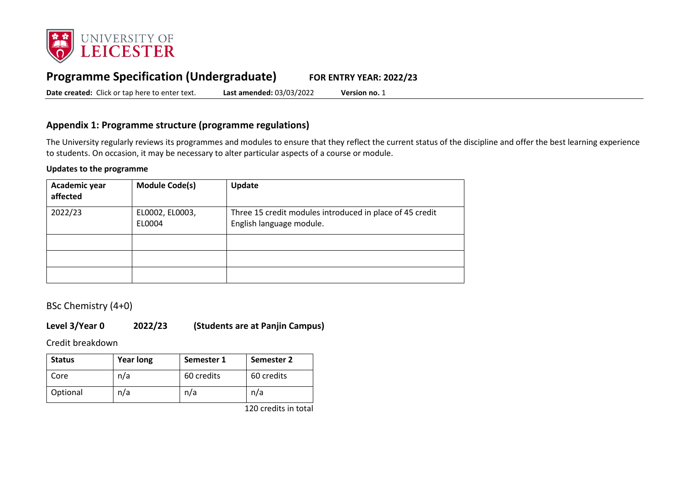

# **Programme Specification (Undergraduate) FOR ENTRY YEAR: 2022/23**

**Date created:** Click or tap here to enter text. **Last amended:** 03/03/2022 **Version no.** 1

## **Appendix 1: Programme structure (programme regulations)**

The University regularly reviews its programmes and modules to ensure that they reflect the current status of the discipline and offer the best learning experience to students. On occasion, it may be necessary to alter particular aspects of a course or module.

### **Updates to the programme**

| Academic year<br>affected | <b>Module Code(s)</b>     | Update                                                                               |
|---------------------------|---------------------------|--------------------------------------------------------------------------------------|
| 2022/23                   | EL0002, EL0003,<br>EL0004 | Three 15 credit modules introduced in place of 45 credit<br>English language module. |
|                           |                           |                                                                                      |
|                           |                           |                                                                                      |
|                           |                           |                                                                                      |

BSc Chemistry (4+0)

### **Level 3/Year 0 2022/23 (Students are at Panjin Campus)**

Credit breakdown

| <b>Status</b> | <b>Year long</b> | Semester 1 | Semester 2 |
|---------------|------------------|------------|------------|
| Core          | n/a              | 60 credits | 60 credits |
| Optional      | n/a              | n/a        | n/a        |

120 credits in total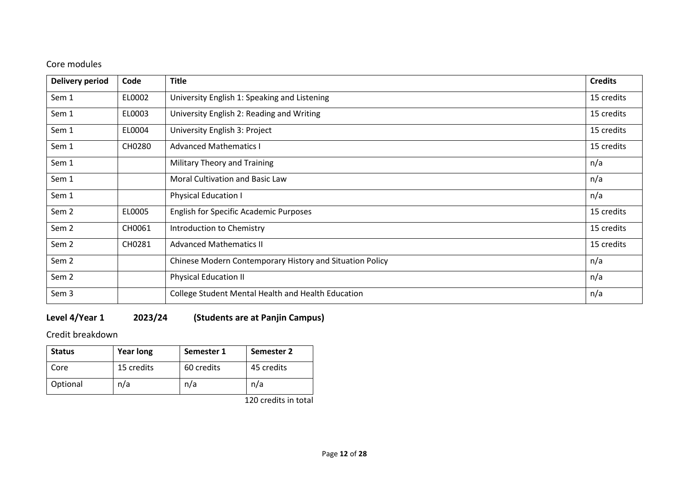## Core modules

| <b>Delivery period</b> | Code   | <b>Title</b>                                             | <b>Credits</b> |
|------------------------|--------|----------------------------------------------------------|----------------|
| Sem 1                  | EL0002 | University English 1: Speaking and Listening             | 15 credits     |
| Sem 1                  | EL0003 | University English 2: Reading and Writing                | 15 credits     |
| Sem 1                  | EL0004 | University English 3: Project                            | 15 credits     |
| Sem 1                  | CH0280 | <b>Advanced Mathematics I</b>                            | 15 credits     |
| Sem 1                  |        | Military Theory and Training                             | n/a            |
| Sem 1                  |        | Moral Cultivation and Basic Law                          | n/a            |
| Sem 1                  |        | Physical Education I                                     | n/a            |
| Sem <sub>2</sub>       | EL0005 | <b>English for Specific Academic Purposes</b>            | 15 credits     |
| Sem <sub>2</sub>       | CH0061 | Introduction to Chemistry                                | 15 credits     |
| Sem <sub>2</sub>       | CH0281 | <b>Advanced Mathematics II</b>                           | 15 credits     |
| Sem <sub>2</sub>       |        | Chinese Modern Contemporary History and Situation Policy | n/a            |
| Sem 2                  |        | <b>Physical Education II</b>                             | n/a            |
| Sem 3                  |        | College Student Mental Health and Health Education       | n/a            |

# **Level 4/Year 1 2023/24 (Students are at Panjin Campus)**

Credit breakdown

| <b>Status</b> | <b>Year long</b> | Semester 1 | Semester 2 |
|---------------|------------------|------------|------------|
| Core          | 15 credits       | 60 credits | 45 credits |
| Optional      | n/a              | n/a        | n/a        |

120 credits in total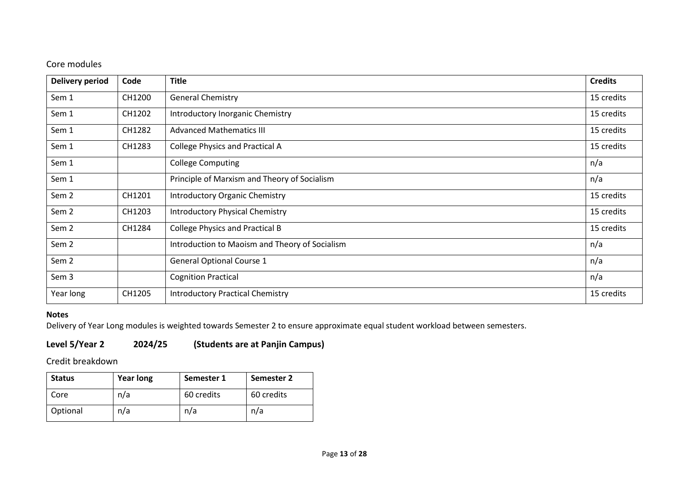## Core modules

| <b>Delivery period</b> | Code   | <b>Title</b>                                   | <b>Credits</b> |
|------------------------|--------|------------------------------------------------|----------------|
| Sem 1                  | CH1200 | <b>General Chemistry</b>                       | 15 credits     |
| Sem 1                  | CH1202 | Introductory Inorganic Chemistry               | 15 credits     |
| Sem 1                  | CH1282 | <b>Advanced Mathematics III</b>                | 15 credits     |
| Sem 1                  | CH1283 | <b>College Physics and Practical A</b>         | 15 credits     |
| Sem 1                  |        | <b>College Computing</b>                       | n/a            |
| Sem 1                  |        | Principle of Marxism and Theory of Socialism   | n/a            |
| Sem 2                  | CH1201 | <b>Introductory Organic Chemistry</b>          | 15 credits     |
| Sem <sub>2</sub>       | CH1203 | <b>Introductory Physical Chemistry</b>         | 15 credits     |
| Sem 2                  | CH1284 | <b>College Physics and Practical B</b>         | 15 credits     |
| Sem <sub>2</sub>       |        | Introduction to Maoism and Theory of Socialism | n/a            |
| Sem <sub>2</sub>       |        | <b>General Optional Course 1</b>               | n/a            |
| Sem 3                  |        | <b>Cognition Practical</b>                     | n/a            |
| Year long              | CH1205 | <b>Introductory Practical Chemistry</b>        | 15 credits     |

## **Notes**

Delivery of Year Long modules is weighted towards Semester 2 to ensure approximate equal student workload between semesters.

# **Level 5/Year 2 2024/25 (Students are at Panjin Campus)**

Credit breakdown

| <b>Status</b> | <b>Year long</b> | Semester 1 | Semester 2 |
|---------------|------------------|------------|------------|
| Core          | n/a              | 60 credits | 60 credits |
| Optional      | n/a              | n/a        | n/a        |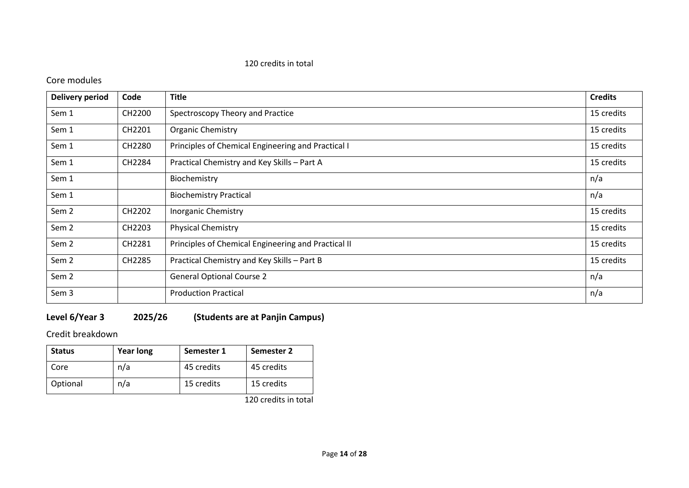### 120 credits in total

## Core modules

| <b>Delivery period</b> | Code   | <b>Title</b>                                        | <b>Credits</b> |
|------------------------|--------|-----------------------------------------------------|----------------|
| Sem 1                  | CH2200 | Spectroscopy Theory and Practice                    | 15 credits     |
| Sem 1                  | CH2201 | <b>Organic Chemistry</b>                            | 15 credits     |
| Sem 1                  | CH2280 | Principles of Chemical Engineering and Practical I  | 15 credits     |
| Sem 1                  | CH2284 | Practical Chemistry and Key Skills - Part A         | 15 credits     |
| Sem 1                  |        | Biochemistry                                        | n/a            |
| Sem 1                  |        | <b>Biochemistry Practical</b>                       | n/a            |
| Sem <sub>2</sub>       | CH2202 | <b>Inorganic Chemistry</b>                          | 15 credits     |
| Sem <sub>2</sub>       | CH2203 | <b>Physical Chemistry</b>                           | 15 credits     |
| Sem 2                  | CH2281 | Principles of Chemical Engineering and Practical II | 15 credits     |
| Sem 2                  | CH2285 | Practical Chemistry and Key Skills - Part B         | 15 credits     |
| Sem 2                  |        | <b>General Optional Course 2</b>                    | n/a            |
| Sem 3                  |        | <b>Production Practical</b>                         | n/a            |

# **Level 6/Year 3 2025/26 (Students are at Panjin Campus)**

Credit breakdown

| <b>Status</b> | <b>Year long</b> | Semester 1 | Semester 2 |
|---------------|------------------|------------|------------|
| Core          | n/a              | 45 credits | 45 credits |
| Optional      | n/a              | 15 credits | 15 credits |

120 credits in total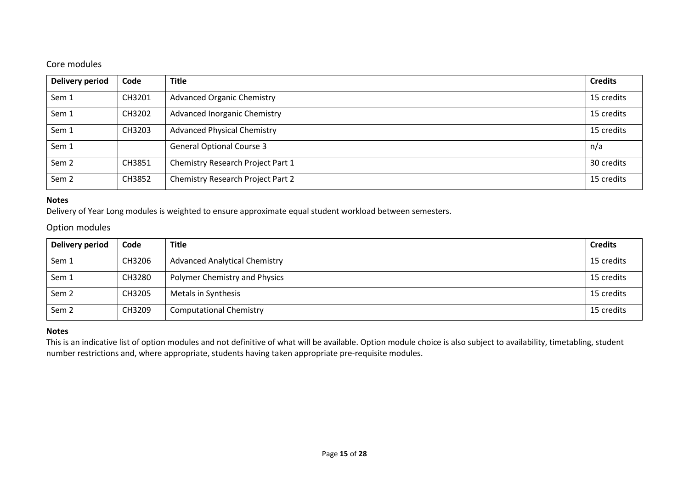# Core modules

| Delivery period  | Code   | <b>Title</b>                             | <b>Credits</b> |
|------------------|--------|------------------------------------------|----------------|
| Sem 1            | CH3201 | <b>Advanced Organic Chemistry</b>        | 15 credits     |
| Sem 1            | CH3202 | <b>Advanced Inorganic Chemistry</b>      | 15 credits     |
| Sem 1            | CH3203 | <b>Advanced Physical Chemistry</b>       | 15 credits     |
| Sem 1            |        | <b>General Optional Course 3</b>         | n/a            |
| Sem <sub>2</sub> | CH3851 | Chemistry Research Project Part 1        | 30 credits     |
| Sem <sub>2</sub> | CH3852 | <b>Chemistry Research Project Part 2</b> | 15 credits     |

### **Notes**

Delivery of Year Long modules is weighted to ensure approximate equal student workload between semesters.

## Option modules

| Delivery period  | Code   | <b>Title</b>                         | <b>Credits</b> |
|------------------|--------|--------------------------------------|----------------|
| Sem 1            | CH3206 | <b>Advanced Analytical Chemistry</b> | 15 credits     |
| Sem 1            | CH3280 | Polymer Chemistry and Physics        | 15 credits     |
| Sem <sub>2</sub> | CH3205 | Metals in Synthesis                  | 15 credits     |
| Sem <sub>2</sub> | CH3209 | <b>Computational Chemistry</b>       | 15 credits     |

### **Notes**

This is an indicative list of option modules and not definitive of what will be available. Option module choice is also subject to availability, timetabling, student number restrictions and, where appropriate, students having taken appropriate pre-requisite modules.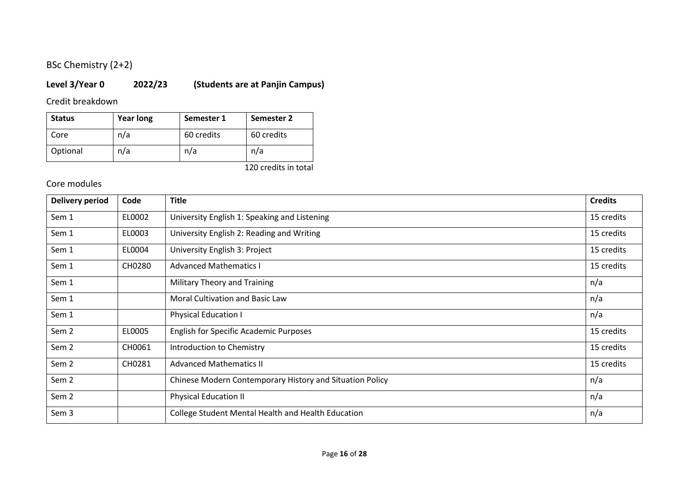# BSc Chemistry (2+2)

# **Level 3/Year 0 2022/23 (Students are at Panjin Campus)**

Credit breakdown

| <b>Status</b> | <b>Year long</b> | Semester 1 | Semester 2 |
|---------------|------------------|------------|------------|
| Core          | n/a              | 60 credits | 60 credits |
| Optional      | n/a              | n/a        | n/a        |

120 credits in total

| <b>Delivery period</b> | Code   | <b>Title</b>                                             | <b>Credits</b> |
|------------------------|--------|----------------------------------------------------------|----------------|
| Sem 1                  | EL0002 | University English 1: Speaking and Listening             | 15 credits     |
| Sem 1                  | EL0003 | University English 2: Reading and Writing                | 15 credits     |
| Sem 1                  | EL0004 | University English 3: Project                            | 15 credits     |
| Sem 1                  | CH0280 | <b>Advanced Mathematics I</b>                            | 15 credits     |
| Sem 1                  |        | Military Theory and Training                             | n/a            |
| Sem 1                  |        | Moral Cultivation and Basic Law                          | n/a            |
| Sem 1                  |        | <b>Physical Education I</b>                              | n/a            |
| Sem <sub>2</sub>       | EL0005 | <b>English for Specific Academic Purposes</b>            | 15 credits     |
| Sem <sub>2</sub>       | CH0061 | Introduction to Chemistry                                | 15 credits     |
| Sem <sub>2</sub>       | CH0281 | <b>Advanced Mathematics II</b>                           | 15 credits     |
| Sem 2                  |        | Chinese Modern Contemporary History and Situation Policy | n/a            |
| Sem <sub>2</sub>       |        | Physical Education II                                    | n/a            |
| Sem 3                  |        | College Student Mental Health and Health Education       | n/a            |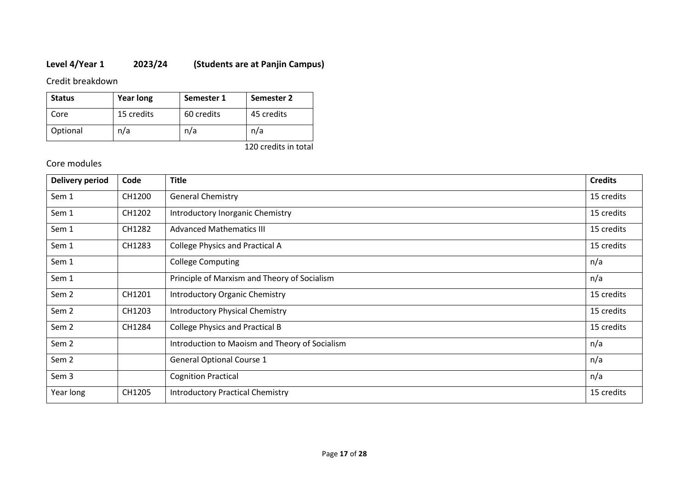# **Level 4/Year 1 2023/24 (Students are at Panjin Campus)**

Credit breakdown

| <b>Status</b> | <b>Year long</b> | Semester 1 | Semester 2 |
|---------------|------------------|------------|------------|
| Core          | 15 credits       | 60 credits | 45 credits |
| Optional      | n/a              | n/a        | n/a        |

120 credits in total

| <b>Delivery period</b> | Code   | <b>Title</b>                                   | <b>Credits</b> |
|------------------------|--------|------------------------------------------------|----------------|
| Sem 1                  | CH1200 | <b>General Chemistry</b>                       | 15 credits     |
| Sem 1                  | CH1202 | Introductory Inorganic Chemistry               | 15 credits     |
| Sem 1                  | CH1282 | <b>Advanced Mathematics III</b>                | 15 credits     |
| Sem 1                  | CH1283 | <b>College Physics and Practical A</b>         | 15 credits     |
| Sem 1                  |        | <b>College Computing</b>                       | n/a            |
| Sem 1                  |        | Principle of Marxism and Theory of Socialism   | n/a            |
| Sem <sub>2</sub>       | CH1201 | <b>Introductory Organic Chemistry</b>          | 15 credits     |
| Sem <sub>2</sub>       | CH1203 | <b>Introductory Physical Chemistry</b>         | 15 credits     |
| Sem <sub>2</sub>       | CH1284 | <b>College Physics and Practical B</b>         | 15 credits     |
| Sem <sub>2</sub>       |        | Introduction to Maoism and Theory of Socialism | n/a            |
| Sem <sub>2</sub>       |        | <b>General Optional Course 1</b>               | n/a            |
| Sem 3                  |        | <b>Cognition Practical</b>                     | n/a            |
| Year long              | CH1205 | <b>Introductory Practical Chemistry</b>        | 15 credits     |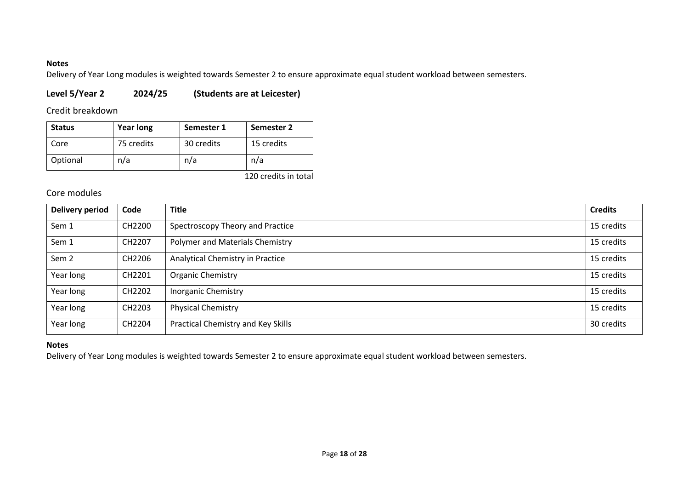### **Notes**

Delivery of Year Long modules is weighted towards Semester 2 to ensure approximate equal student workload between semesters.

## **Level 5/Year 2 2024/25 (Students are at Leicester)**

## Credit breakdown

| <b>Status</b> | <b>Year long</b> | Semester 1 | Semester 2 |
|---------------|------------------|------------|------------|
| Core          | 75 credits       | 30 credits | 15 credits |
| Optional      | n/a              | n/a        | n/a        |

120 credits in total

## Core modules

| Delivery period  | Code   | <b>Title</b>                       | <b>Credits</b> |
|------------------|--------|------------------------------------|----------------|
| Sem 1            | CH2200 | Spectroscopy Theory and Practice   | 15 credits     |
| Sem 1            | CH2207 | Polymer and Materials Chemistry    | 15 credits     |
| Sem <sub>2</sub> | CH2206 | Analytical Chemistry in Practice   | 15 credits     |
| Year long        | CH2201 | Organic Chemistry                  | 15 credits     |
| Year long        | CH2202 | <b>Inorganic Chemistry</b>         | 15 credits     |
| Year long        | CH2203 | <b>Physical Chemistry</b>          | 15 credits     |
| Year long        | CH2204 | Practical Chemistry and Key Skills | 30 credits     |

### **Notes**

Delivery of Year Long modules is weighted towards Semester 2 to ensure approximate equal student workload between semesters.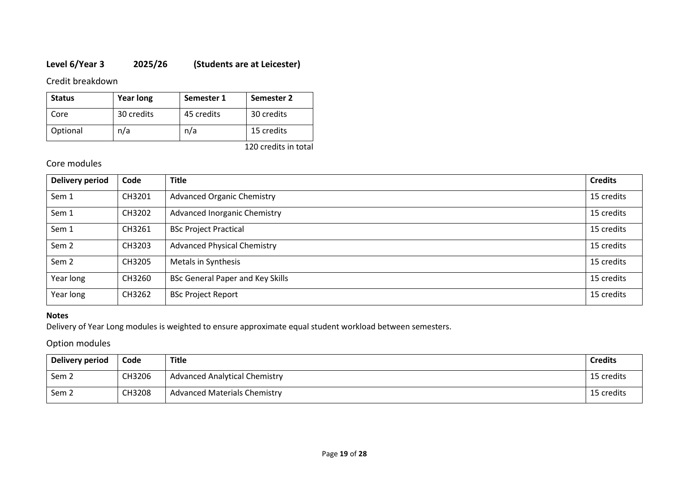# **Level 6/Year 3 2025/26 (Students are at Leicester)**

Credit breakdown

| <b>Status</b> | <b>Year long</b> | Semester 1 | Semester 2 |
|---------------|------------------|------------|------------|
| Core          | 30 credits       | 45 credits | 30 credits |
| Optional      | n/a              | n/a        | 15 credits |

120 credits in total

## Core modules

| <b>Delivery period</b> | Code   | <b>Title</b>                            | <b>Credits</b> |
|------------------------|--------|-----------------------------------------|----------------|
| Sem 1                  | CH3201 | <b>Advanced Organic Chemistry</b>       | 15 credits     |
| Sem 1                  | CH3202 | <b>Advanced Inorganic Chemistry</b>     | 15 credits     |
| Sem 1                  | CH3261 | <b>BSc Project Practical</b>            | 15 credits     |
| Sem <sub>2</sub>       | CH3203 | <b>Advanced Physical Chemistry</b>      | 15 credits     |
| Sem <sub>2</sub>       | CH3205 | Metals in Synthesis                     | 15 credits     |
| Year long              | CH3260 | <b>BSc General Paper and Key Skills</b> | 15 credits     |
| Year long              | CH3262 | <b>BSc Project Report</b>               | 15 credits     |

### **Notes**

Delivery of Year Long modules is weighted to ensure approximate equal student workload between semesters.

Option modules

| Delivery period  | Code   | Title                                | <b>Credits</b> |
|------------------|--------|--------------------------------------|----------------|
| Sem 2            | CH3206 | <b>Advanced Analytical Chemistry</b> | 15 credits     |
| Sem <sub>2</sub> | CH3208 | <b>Advanced Materials Chemistry</b>  | 15 credits     |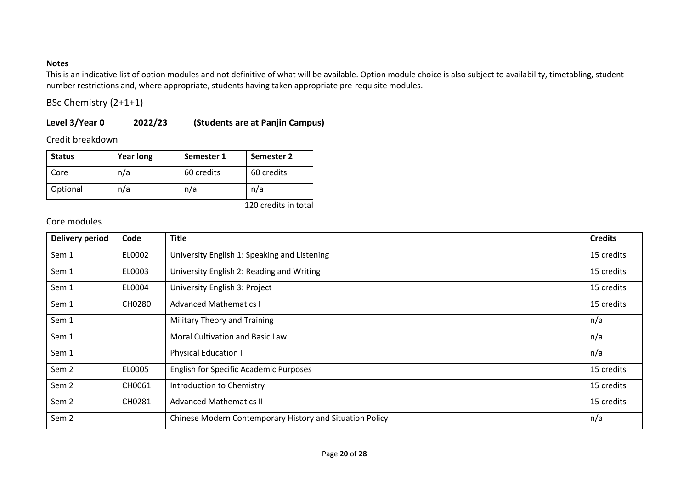### **Notes**

This is an indicative list of option modules and not definitive of what will be available. Option module choice is also subject to availability, timetabling, student number restrictions and, where appropriate, students having taken appropriate pre-requisite modules.

BSc Chemistry (2+1+1)

## **Level 3/Year 0 2022/23 (Students are at Panjin Campus)**

Credit breakdown

| <b>Status</b> | <b>Year long</b> | Semester 1 | Semester 2 |
|---------------|------------------|------------|------------|
| Core          | n/a              | 60 credits | 60 credits |
| Optional      | n/a              | n/a        | n/a        |

120 credits in total

| <b>Delivery period</b> | Code   | <b>Title</b>                                             | <b>Credits</b> |
|------------------------|--------|----------------------------------------------------------|----------------|
| Sem 1                  | EL0002 | University English 1: Speaking and Listening             | 15 credits     |
| Sem 1                  | EL0003 | University English 2: Reading and Writing                | 15 credits     |
| Sem 1                  | EL0004 | University English 3: Project                            | 15 credits     |
| Sem 1                  | CH0280 | <b>Advanced Mathematics I</b>                            | 15 credits     |
| Sem 1                  |        | Military Theory and Training                             | n/a            |
| Sem 1                  |        | Moral Cultivation and Basic Law                          | n/a            |
| Sem 1                  |        | <b>Physical Education I</b>                              | n/a            |
| Sem <sub>2</sub>       | EL0005 | <b>English for Specific Academic Purposes</b>            | 15 credits     |
| Sem <sub>2</sub>       | CH0061 | Introduction to Chemistry                                | 15 credits     |
| Sem <sub>2</sub>       | CH0281 | <b>Advanced Mathematics II</b>                           | 15 credits     |
| Sem <sub>2</sub>       |        | Chinese Modern Contemporary History and Situation Policy | n/a            |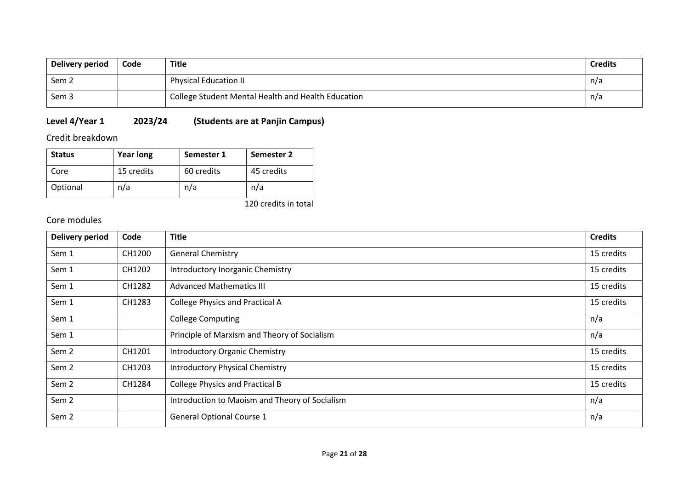| Delivery period | Code | <b>Title</b>                                       | <b>Credits</b> |
|-----------------|------|----------------------------------------------------|----------------|
| Sem 2           |      | <b>Physical Education II</b>                       | n/a            |
| Sem 3           |      | College Student Mental Health and Health Education | n/a            |

# **Level 4/Year 1 2023/24 (Students are at Panjin Campus)**

Credit breakdown

| <b>Status</b> | <b>Year long</b> | Semester 1 | Semester 2 |
|---------------|------------------|------------|------------|
| Core          | 15 credits       | 60 credits | 45 credits |
| Optional      | n/a              | n/a        | n/a        |

120 credits in total

| <b>Delivery period</b> | Code   | <b>Title</b>                                   | <b>Credits</b> |
|------------------------|--------|------------------------------------------------|----------------|
| Sem 1                  | CH1200 | <b>General Chemistry</b>                       | 15 credits     |
| Sem 1                  | CH1202 | Introductory Inorganic Chemistry               | 15 credits     |
| Sem 1                  | CH1282 | <b>Advanced Mathematics III</b>                | 15 credits     |
| Sem 1                  | CH1283 | <b>College Physics and Practical A</b>         | 15 credits     |
| Sem 1                  |        | <b>College Computing</b>                       | n/a            |
| Sem 1                  |        | Principle of Marxism and Theory of Socialism   | n/a            |
| Sem <sub>2</sub>       | CH1201 | <b>Introductory Organic Chemistry</b>          | 15 credits     |
| Sem <sub>2</sub>       | CH1203 | <b>Introductory Physical Chemistry</b>         | 15 credits     |
| Sem <sub>2</sub>       | CH1284 | <b>College Physics and Practical B</b>         | 15 credits     |
| Sem <sub>2</sub>       |        | Introduction to Maoism and Theory of Socialism | n/a            |
| Sem <sub>2</sub>       |        | <b>General Optional Course 1</b>               | n/a            |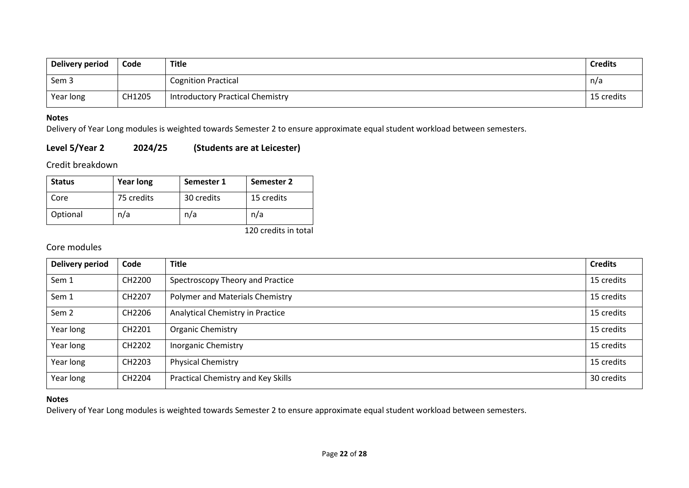| Delivery period | Code   | <b>Title</b>                            | <b>Credits</b> |
|-----------------|--------|-----------------------------------------|----------------|
| Sem 3           |        | <b>Cognition Practical</b>              | n/a            |
| Year long       | CH1205 | <b>Introductory Practical Chemistry</b> | 15 credits     |

#### **Notes**

Delivery of Year Long modules is weighted towards Semester 2 to ensure approximate equal student workload between semesters.

## **Level 5/Year 2 2024/25 (Students are at Leicester)**

Credit breakdown

| <b>Status</b> | <b>Year long</b> | Semester 1 | Semester 2 |
|---------------|------------------|------------|------------|
| Core          | 75 credits       | 30 credits | 15 credits |
| Optional      | n/a              | n/a        | n/a        |

120 credits in total

### Core modules

| <b>Delivery period</b> | Code   | <b>Title</b>                       | <b>Credits</b> |
|------------------------|--------|------------------------------------|----------------|
| Sem 1                  | CH2200 | Spectroscopy Theory and Practice   | 15 credits     |
| Sem 1                  | CH2207 | Polymer and Materials Chemistry    | 15 credits     |
| Sem <sub>2</sub>       | CH2206 | Analytical Chemistry in Practice   | 15 credits     |
| Year long              | CH2201 | <b>Organic Chemistry</b>           | 15 credits     |
| Year long              | CH2202 | <b>Inorganic Chemistry</b>         | 15 credits     |
| Year long              | CH2203 | <b>Physical Chemistry</b>          | 15 credits     |
| Year long              | CH2204 | Practical Chemistry and Key Skills | 30 credits     |

### **Notes**

Delivery of Year Long modules is weighted towards Semester 2 to ensure approximate equal student workload between semesters.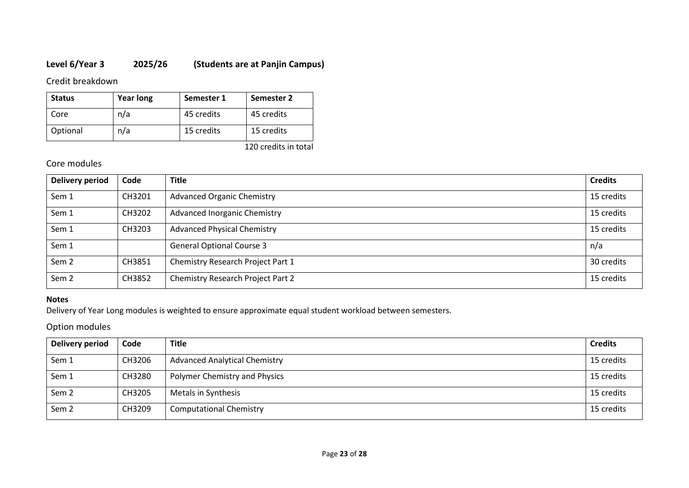## **Level 6/Year 3 2025/26 (Students are at Panjin Campus)**

Credit breakdown

| <b>Status</b> | <b>Year long</b> | Semester 1 | Semester 2 |
|---------------|------------------|------------|------------|
| Core          | n/a              | 45 credits | 45 credits |
| Optional      | n/a              | 15 credits | 15 credits |

120 credits in total

## Core modules

| <b>Delivery period</b> | Code   | <b>Title</b>                        | <b>Credits</b> |
|------------------------|--------|-------------------------------------|----------------|
| Sem 1                  | CH3201 | <b>Advanced Organic Chemistry</b>   | 15 credits     |
| Sem 1                  | CH3202 | <b>Advanced Inorganic Chemistry</b> | 15 credits     |
| Sem 1                  | CH3203 | <b>Advanced Physical Chemistry</b>  | 15 credits     |
| Sem 1                  |        | <b>General Optional Course 3</b>    | n/a            |
| Sem <sub>2</sub>       | CH3851 | Chemistry Research Project Part 1   | 30 credits     |
| Sem <sub>2</sub>       | CH3852 | Chemistry Research Project Part 2   | 15 credits     |

### **Notes**

Delivery of Year Long modules is weighted to ensure approximate equal student workload between semesters.

### Option modules

| <b>Delivery period</b> | Code   | <b>Title</b>                         | <b>Credits</b> |
|------------------------|--------|--------------------------------------|----------------|
| Sem 1                  | CH3206 | <b>Advanced Analytical Chemistry</b> | 15 credits     |
| Sem 1                  | CH3280 | Polymer Chemistry and Physics        | 15 credits     |
| Sem <sub>2</sub>       | CH3205 | Metals in Synthesis                  | 15 credits     |
| Sem <sub>2</sub>       | CH3209 | <b>Computational Chemistry</b>       | 15 credits     |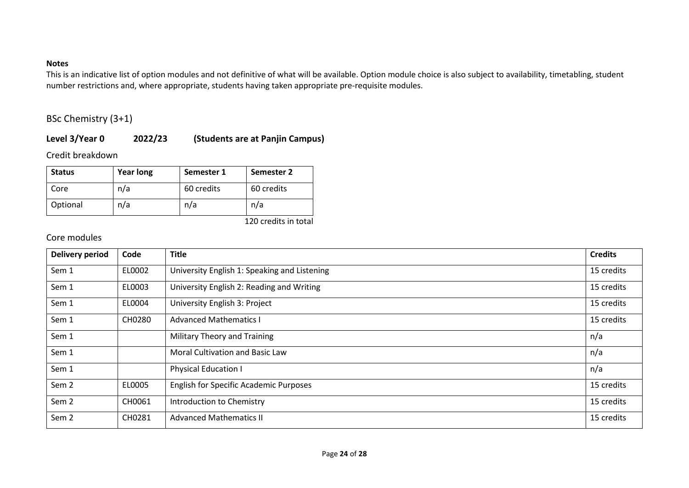### **Notes**

This is an indicative list of option modules and not definitive of what will be available. Option module choice is also subject to availability, timetabling, student number restrictions and, where appropriate, students having taken appropriate pre-requisite modules.

BSc Chemistry (3+1)

## **Level 3/Year 0 2022/23 (Students are at Panjin Campus)**

Credit breakdown

| <b>Status</b> | <b>Year long</b> | Semester 1 | Semester 2 |
|---------------|------------------|------------|------------|
| Core          | n/a              | 60 credits | 60 credits |
| Optional      | n/a              | n/a        | n/a        |

120 credits in total

| <b>Delivery period</b> | Code   | <b>Title</b>                                  | <b>Credits</b> |
|------------------------|--------|-----------------------------------------------|----------------|
| Sem 1                  | EL0002 | University English 1: Speaking and Listening  | 15 credits     |
| Sem 1                  | EL0003 | University English 2: Reading and Writing     | 15 credits     |
| Sem 1                  | EL0004 | University English 3: Project                 | 15 credits     |
| Sem 1                  | CH0280 | <b>Advanced Mathematics I</b>                 | 15 credits     |
| Sem 1                  |        | Military Theory and Training                  | n/a            |
| Sem 1                  |        | <b>Moral Cultivation and Basic Law</b>        | n/a            |
| Sem 1                  |        | <b>Physical Education I</b>                   | n/a            |
| Sem <sub>2</sub>       | EL0005 | <b>English for Specific Academic Purposes</b> | 15 credits     |
| Sem 2                  | CH0061 | Introduction to Chemistry                     | 15 credits     |
| Sem <sub>2</sub>       | CH0281 | <b>Advanced Mathematics II</b>                | 15 credits     |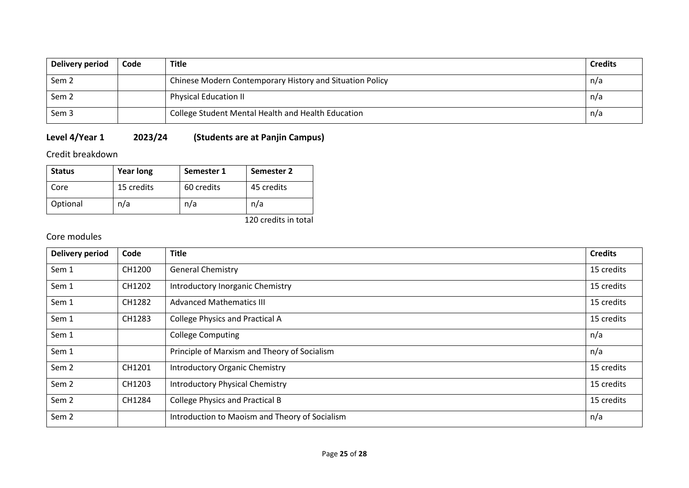| Delivery period  | Code | <b>Title</b>                                             | <b>Credits</b> |
|------------------|------|----------------------------------------------------------|----------------|
| Sem <sub>2</sub> |      | Chinese Modern Contemporary History and Situation Policy | n/a            |
| Sem <sub>2</sub> |      | <b>Physical Education II</b>                             | n/a            |
| Sem <sub>3</sub> |      | College Student Mental Health and Health Education       | n/a            |

# **Level 4/Year 1 2023/24 (Students are at Panjin Campus)**

Credit breakdown

| <b>Status</b> | <b>Year long</b> | Semester 1 | Semester 2 |
|---------------|------------------|------------|------------|
| Core          | 15 credits       | 60 credits | 45 credits |
| Optional      | n/a              | n/a        | n/a        |

120 credits in total

| <b>Delivery period</b> | Code   | <b>Title</b>                                   | <b>Credits</b> |
|------------------------|--------|------------------------------------------------|----------------|
| Sem 1                  | CH1200 | <b>General Chemistry</b>                       | 15 credits     |
| Sem 1                  | CH1202 | Introductory Inorganic Chemistry               | 15 credits     |
| Sem 1                  | CH1282 | <b>Advanced Mathematics III</b>                | 15 credits     |
| Sem 1                  | CH1283 | <b>College Physics and Practical A</b>         | 15 credits     |
| Sem 1                  |        | <b>College Computing</b>                       | n/a            |
| Sem 1                  |        | Principle of Marxism and Theory of Socialism   | n/a            |
| Sem <sub>2</sub>       | CH1201 | <b>Introductory Organic Chemistry</b>          | 15 credits     |
| Sem <sub>2</sub>       | CH1203 | <b>Introductory Physical Chemistry</b>         | 15 credits     |
| Sem <sub>2</sub>       | CH1284 | <b>College Physics and Practical B</b>         | 15 credits     |
| Sem <sub>2</sub>       |        | Introduction to Maoism and Theory of Socialism | n/a            |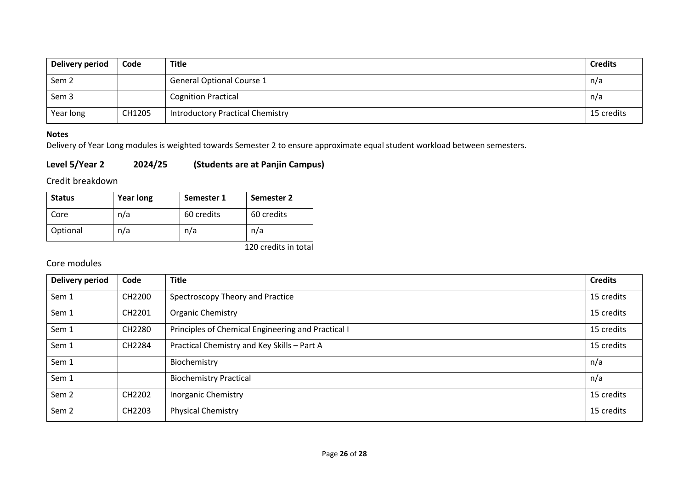| Delivery period  | Code   | Title                                   | <b>Credits</b> |
|------------------|--------|-----------------------------------------|----------------|
| Sem <sub>2</sub> |        | <b>General Optional Course 1</b>        | n/a            |
| Sem 3            |        | <b>Cognition Practical</b>              | n/a            |
| Year long        | CH1205 | <b>Introductory Practical Chemistry</b> | 15 credits     |

### **Notes**

Delivery of Year Long modules is weighted towards Semester 2 to ensure approximate equal student workload between semesters.

## **Level 5/Year 2 2024/25 (Students are at Panjin Campus)**

Credit breakdown

| <b>Status</b> | <b>Year long</b> | Semester 1 | Semester 2 |
|---------------|------------------|------------|------------|
| Core          | n/a              | 60 credits | 60 credits |
| Optional      | n/a              | n/a        | n/a        |

120 credits in total

| Delivery period  | Code   | <b>Title</b>                                       | <b>Credits</b> |
|------------------|--------|----------------------------------------------------|----------------|
| Sem 1            | CH2200 | Spectroscopy Theory and Practice                   | 15 credits     |
| Sem 1            | CH2201 | Organic Chemistry                                  | 15 credits     |
| Sem 1            | CH2280 | Principles of Chemical Engineering and Practical I | 15 credits     |
| Sem 1            | CH2284 | Practical Chemistry and Key Skills - Part A        | 15 credits     |
| Sem 1            |        | Biochemistry                                       | n/a            |
| Sem 1            |        | <b>Biochemistry Practical</b>                      | n/a            |
| Sem 2            | CH2202 | <b>Inorganic Chemistry</b>                         | 15 credits     |
| Sem <sub>2</sub> | CH2203 | <b>Physical Chemistry</b>                          | 15 credits     |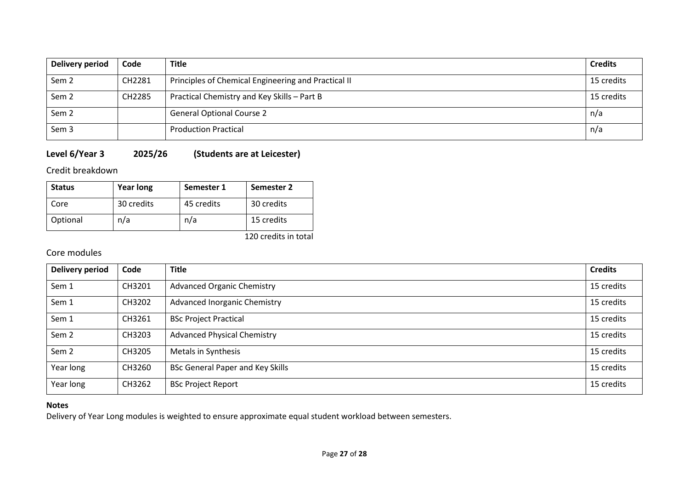| Delivery period  | Code   | <b>Title</b>                                        | <b>Credits</b> |
|------------------|--------|-----------------------------------------------------|----------------|
| Sem <sub>2</sub> | CH2281 | Principles of Chemical Engineering and Practical II | 15 credits     |
| Sem <sub>2</sub> | CH2285 | Practical Chemistry and Key Skills - Part B         | 15 credits     |
| Sem <sub>2</sub> |        | <b>General Optional Course 2</b>                    | n/a            |
| Sem <sub>3</sub> |        | <b>Production Practical</b>                         | n/a            |

# **Level 6/Year 3 2025/26 (Students are at Leicester)**

Credit breakdown

| <b>Status</b> | <b>Year long</b> | Semester 1 | Semester 2           |
|---------------|------------------|------------|----------------------|
| Core          | 30 credits       | 45 credits | 30 credits           |
| Optional      | n/a              | n/a        | 15 credits           |
|               |                  |            | 120 credits in total |

## Core modules

| <b>Delivery period</b> | Code   | <b>Title</b>                            | <b>Credits</b> |
|------------------------|--------|-----------------------------------------|----------------|
| Sem 1                  | CH3201 | <b>Advanced Organic Chemistry</b>       | 15 credits     |
| Sem 1                  | CH3202 | <b>Advanced Inorganic Chemistry</b>     | 15 credits     |
| Sem 1                  | CH3261 | <b>BSc Project Practical</b>            | 15 credits     |
| Sem <sub>2</sub>       | CH3203 | <b>Advanced Physical Chemistry</b>      | 15 credits     |
| Sem <sub>2</sub>       | CH3205 | Metals in Synthesis                     | 15 credits     |
| Year long              | CH3260 | <b>BSc General Paper and Key Skills</b> | 15 credits     |
| Year long              | CH3262 | <b>BSc Project Report</b>               | 15 credits     |

## **Notes**

Delivery of Year Long modules is weighted to ensure approximate equal student workload between semesters.